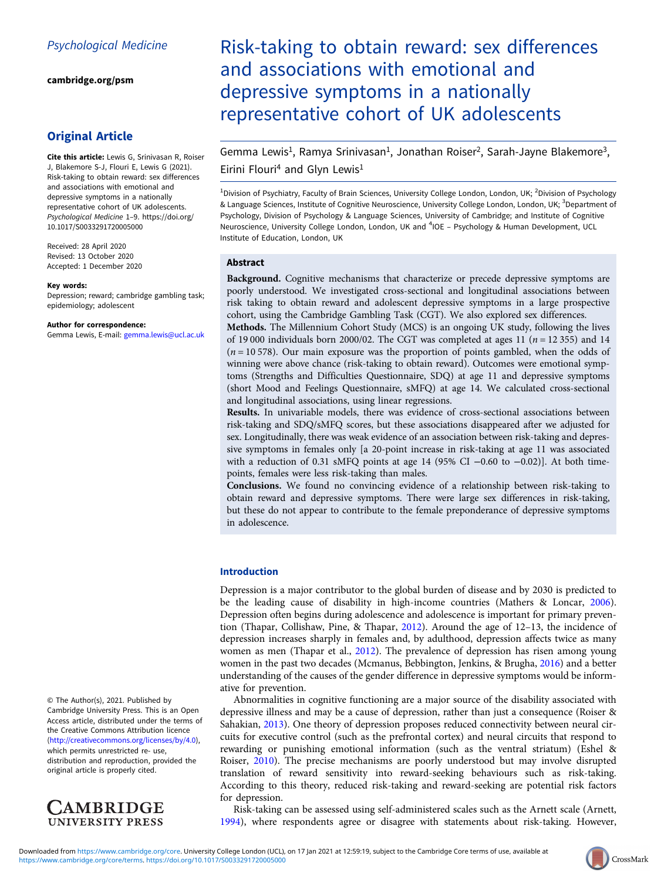[cambridge.org/psm](https://www.cambridge.org/psm)

## Original Article

Cite this article: Lewis G, Srinivasan R, Roiser J, Blakemore S-J, Flouri E, Lewis G (2021). Risk-taking to obtain reward: sex differences and associations with emotional and depressive symptoms in a nationally representative cohort of UK adolescents. Psychological Medicine 1–9. [https://doi.org/](https://doi.org/10.1017/S0033291720005000) [10.1017/S0033291720005000](https://doi.org/10.1017/S0033291720005000)

Received: 28 April 2020 Revised: 13 October 2020 Accepted: 1 December 2020

#### Key words:

Depression; reward; cambridge gambling task; epidemiology; adolescent

#### Author for correspondence:

Gemma Lewis, E-mail: [gemma.lewis@ucl.ac.uk](mailto:gemma.lewis@ucl.ac.uk)

© The Author(s), 2021. Published by Cambridge University Press. This is an Open Access article, distributed under the terms of the Creative Commons Attribution licence (<http://creativecommons.org/licenses/by/4.0>), which permits unrestricted re- use, distribution and reproduction, provided the original article is properly cited.



# Risk-taking to obtain reward: sex differences and associations with emotional and depressive symptoms in a nationally representative cohort of UK adolescents

Gemma Lewis<sup>1</sup>, Ramya Srinivasan<sup>1</sup>, Jonathan Roiser<sup>2</sup>, Sarah-Jayne Blakemore<sup>3</sup>, Eirini Flouri<sup>4</sup> and Glyn Lewis<sup>1</sup>

<sup>1</sup>Division of Psychiatry, Faculty of Brain Sciences, University College London, London, UK; <sup>2</sup>Division of Psychology & Language Sciences, Institute of Cognitive Neuroscience, University College London, London, UK; <sup>3</sup>Department of Psychology, Division of Psychology & Language Sciences, University of Cambridge; and Institute of Cognitive Neuroscience, University College London, London, UK and <sup>4</sup>IOE - Psychology & Human Development, UCL Institute of Education, London, UK

## Abstract

Background. Cognitive mechanisms that characterize or precede depressive symptoms are poorly understood. We investigated cross-sectional and longitudinal associations between risk taking to obtain reward and adolescent depressive symptoms in a large prospective cohort, using the Cambridge Gambling Task (CGT). We also explored sex differences.

Methods. The Millennium Cohort Study (MCS) is an ongoing UK study, following the lives of 19 000 individuals born 2000/02. The CGT was completed at ages 11 ( $n = 12355$ ) and 14  $(n = 10578)$ . Our main exposure was the proportion of points gambled, when the odds of winning were above chance (risk-taking to obtain reward). Outcomes were emotional symptoms (Strengths and Difficulties Questionnaire, SDQ) at age 11 and depressive symptoms (short Mood and Feelings Questionnaire, sMFQ) at age 14. We calculated cross-sectional and longitudinal associations, using linear regressions.

Results. In univariable models, there was evidence of cross-sectional associations between risk-taking and SDQ/sMFQ scores, but these associations disappeared after we adjusted for sex. Longitudinally, there was weak evidence of an association between risk-taking and depressive symptoms in females only [a 20-point increase in risk-taking at age 11 was associated with a reduction of 0.31 sMFQ points at age 14 (95% CI -0.60 to -0.02)]. At both timepoints, females were less risk-taking than males.

Conclusions. We found no convincing evidence of a relationship between risk-taking to obtain reward and depressive symptoms. There were large sex differences in risk-taking, but these do not appear to contribute to the female preponderance of depressive symptoms in adolescence.

## Introduction

Depression is a major contributor to the global burden of disease and by 2030 is predicted to be the leading cause of disability in high-income countries (Mathers & Loncar, [2006](#page-8-0)). Depression often begins during adolescence and adolescence is important for primary prevention (Thapar, Collishaw, Pine, & Thapar, [2012](#page-8-0)). Around the age of 12–13, the incidence of depression increases sharply in females and, by adulthood, depression affects twice as many women as men (Thapar et al., [2012](#page-8-0)). The prevalence of depression has risen among young women in the past two decades (Mcmanus, Bebbington, Jenkins, & Brugha, [2016\)](#page-8-0) and a better understanding of the causes of the gender difference in depressive symptoms would be informative for prevention.

Abnormalities in cognitive functioning are a major source of the disability associated with depressive illness and may be a cause of depression, rather than just a consequence (Roiser & Sahakian, [2013\)](#page-8-0). One theory of depression proposes reduced connectivity between neural circuits for executive control (such as the prefrontal cortex) and neural circuits that respond to rewarding or punishing emotional information (such as the ventral striatum) (Eshel & Roiser, [2010\)](#page-7-0). The precise mechanisms are poorly understood but may involve disrupted translation of reward sensitivity into reward-seeking behaviours such as risk-taking. According to this theory, reduced risk-taking and reward-seeking are potential risk factors for depression.

Risk-taking can be assessed using self-administered scales such as the Arnett scale (Arnett, [1994\)](#page-7-0), where respondents agree or disagree with statements about risk-taking. However,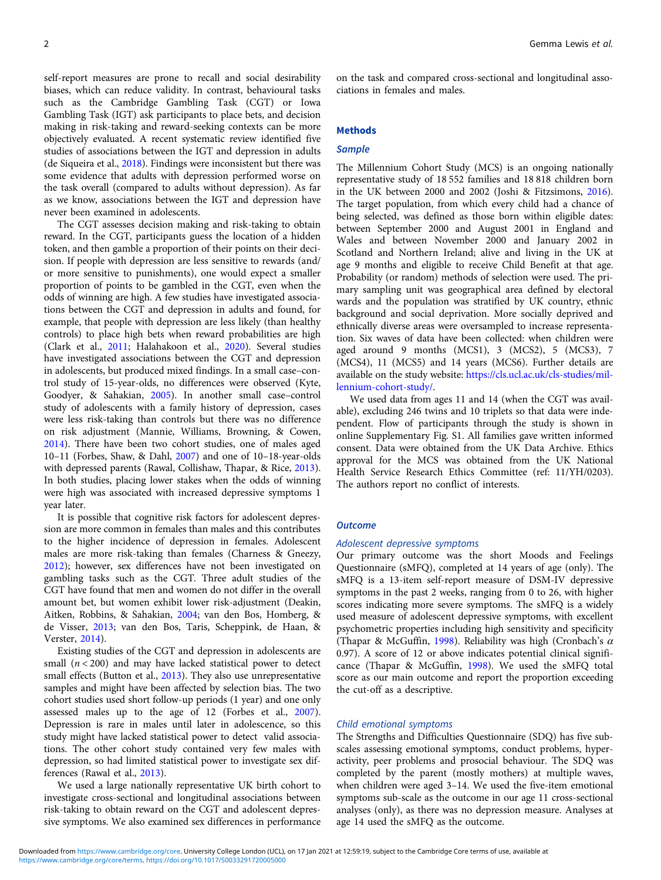self-report measures are prone to recall and social desirability biases, which can reduce validity. In contrast, behavioural tasks such as the Cambridge Gambling Task (CGT) or Iowa Gambling Task (IGT) ask participants to place bets, and decision making in risk-taking and reward-seeking contexts can be more objectively evaluated. A recent systematic review identified five studies of associations between the IGT and depression in adults (de Siqueira et al., [2018\)](#page-7-0). Findings were inconsistent but there was some evidence that adults with depression performed worse on the task overall (compared to adults without depression). As far as we know, associations between the IGT and depression have never been examined in adolescents.

The CGT assesses decision making and risk-taking to obtain reward. In the CGT, participants guess the location of a hidden token, and then gamble a proportion of their points on their decision. If people with depression are less sensitive to rewards (and/ or more sensitive to punishments), one would expect a smaller proportion of points to be gambled in the CGT, even when the odds of winning are high. A few studies have investigated associations between the CGT and depression in adults and found, for example, that people with depression are less likely (than healthy controls) to place high bets when reward probabilities are high (Clark et al., [2011](#page-7-0); Halahakoon et al., [2020\)](#page-7-0). Several studies have investigated associations between the CGT and depression in adolescents, but produced mixed findings. In a small case–control study of 15-year-olds, no differences were observed (Kyte, Goodyer, & Sahakian, [2005](#page-7-0)). In another small case–control study of adolescents with a family history of depression, cases were less risk-taking than controls but there was no difference on risk adjustment (Mannie, Williams, Browning, & Cowen, [2014\)](#page-8-0). There have been two cohort studies, one of males aged 10–11 (Forbes, Shaw, & Dahl, [2007](#page-7-0)) and one of 10–18-year-olds with depressed parents (Rawal, Collishaw, Thapar, & Rice, [2013\)](#page-8-0). In both studies, placing lower stakes when the odds of winning were high was associated with increased depressive symptoms 1 year later.

It is possible that cognitive risk factors for adolescent depression are more common in females than males and this contributes to the higher incidence of depression in females. Adolescent males are more risk-taking than females (Charness & Gneezy, [2012\)](#page-7-0); however, sex differences have not been investigated on gambling tasks such as the CGT. Three adult studies of the CGT have found that men and women do not differ in the overall amount bet, but women exhibit lower risk-adjustment (Deakin, Aitken, Robbins, & Sahakian, [2004;](#page-7-0) van den Bos, Homberg, & de Visser, [2013](#page-8-0); van den Bos, Taris, Scheppink, de Haan, & Verster, [2014\)](#page-8-0).

Existing studies of the CGT and depression in adolescents are small  $(n < 200)$  and may have lacked statistical power to detect small effects (Button et al., [2013\)](#page-7-0). They also use unrepresentative samples and might have been affected by selection bias. The two cohort studies used short follow-up periods (1 year) and one only assessed males up to the age of 12 (Forbes et al., [2007\)](#page-7-0). Depression is rare in males until later in adolescence, so this study might have lacked statistical power to detect valid associations. The other cohort study contained very few males with depression, so had limited statistical power to investigate sex differences (Rawal et al., [2013\)](#page-8-0).

We used a large nationally representative UK birth cohort to investigate cross-sectional and longitudinal associations between risk-taking to obtain reward on the CGT and adolescent depressive symptoms. We also examined sex differences in performance

on the task and compared cross-sectional and longitudinal associations in females and males.

#### Methods

## **Sample**

The Millennium Cohort Study (MCS) is an ongoing nationally representative study of 18 552 families and 18 818 children born in the UK between 2000 and 2002 (Joshi & Fitzsimons, [2016](#page-7-0)). The target population, from which every child had a chance of being selected, was defined as those born within eligible dates: between September 2000 and August 2001 in England and Wales and between November 2000 and January 2002 in Scotland and Northern Ireland; alive and living in the UK at age 9 months and eligible to receive Child Benefit at that age. Probability (or random) methods of selection were used. The primary sampling unit was geographical area defined by electoral wards and the population was stratified by UK country, ethnic background and social deprivation. More socially deprived and ethnically diverse areas were oversampled to increase representation. Six waves of data have been collected: when children were aged around 9 months (MCS1), 3 (MCS2), 5 (MCS3), 7 (MCS4), 11 (MCS5) and 14 years (MCS6). Further details are available on the study website: [https://cls.ucl.ac.uk/cls-studies/mil](https://cls.ucl.ac.uk/cls-studies/millennium-cohort-study/)[lennium-cohort-study/](https://cls.ucl.ac.uk/cls-studies/millennium-cohort-study/).

We used data from ages 11 and 14 (when the CGT was available), excluding 246 twins and 10 triplets so that data were independent. Flow of participants through the study is shown in online Supplementary Fig. S1. All families gave written informed consent. Data were obtained from the UK Data Archive. Ethics approval for the MCS was obtained from the UK National Health Service Research Ethics Committee (ref: 11/YH/0203). The authors report no conflict of interests.

## **Outcome**

## Adolescent depressive symptoms

Our primary outcome was the short Moods and Feelings Questionnaire (sMFQ), completed at 14 years of age (only). The sMFQ is a 13-item self-report measure of DSM-IV depressive symptoms in the past 2 weeks, ranging from 0 to 26, with higher scores indicating more severe symptoms. The sMFQ is a widely used measure of adolescent depressive symptoms, with excellent psychometric properties including high sensitivity and specificity (Thapar & McGuffin, [1998](#page-8-0)). Reliability was high (Cronbach's  $\alpha$ 0.97). A score of 12 or above indicates potential clinical significance (Thapar & McGuffin, [1998\)](#page-8-0). We used the sMFQ total score as our main outcome and report the proportion exceeding the cut-off as a descriptive.

## Child emotional symptoms

The Strengths and Difficulties Questionnaire (SDQ) has five subscales assessing emotional symptoms, conduct problems, hyperactivity, peer problems and prosocial behaviour. The SDQ was completed by the parent (mostly mothers) at multiple waves, when children were aged 3–14. We used the five-item emotional symptoms sub-scale as the outcome in our age 11 cross-sectional analyses (only), as there was no depression measure. Analyses at age 14 used the sMFQ as the outcome.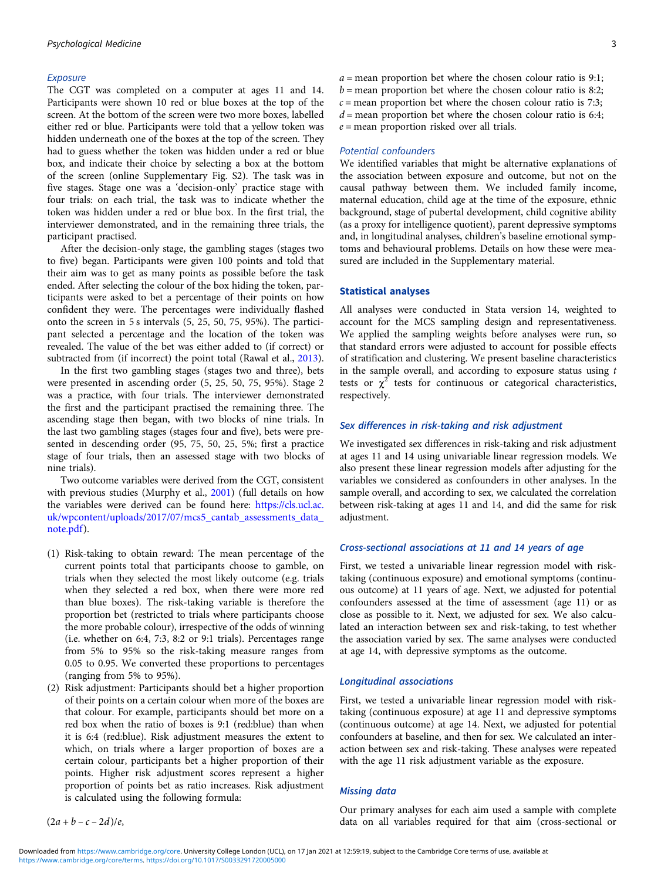## Exposure

The CGT was completed on a computer at ages 11 and 14. Participants were shown 10 red or blue boxes at the top of the screen. At the bottom of the screen were two more boxes, labelled either red or blue. Participants were told that a yellow token was hidden underneath one of the boxes at the top of the screen. They had to guess whether the token was hidden under a red or blue box, and indicate their choice by selecting a box at the bottom of the screen (online Supplementary Fig. S2). The task was in five stages. Stage one was a 'decision-only' practice stage with four trials: on each trial, the task was to indicate whether the token was hidden under a red or blue box. In the first trial, the interviewer demonstrated, and in the remaining three trials, the participant practised.

After the decision-only stage, the gambling stages (stages two to five) began. Participants were given 100 points and told that their aim was to get as many points as possible before the task ended. After selecting the colour of the box hiding the token, participants were asked to bet a percentage of their points on how confident they were. The percentages were individually flashed onto the screen in 5 s intervals (5, 25, 50, 75, 95%). The participant selected a percentage and the location of the token was revealed. The value of the bet was either added to (if correct) or subtracted from (if incorrect) the point total (Rawal et al., [2013\)](#page-8-0).

In the first two gambling stages (stages two and three), bets were presented in ascending order (5, 25, 50, 75, 95%). Stage 2 was a practice, with four trials. The interviewer demonstrated the first and the participant practised the remaining three. The ascending stage then began, with two blocks of nine trials. In the last two gambling stages (stages four and five), bets were presented in descending order (95, 75, 50, 25, 5%; first a practice stage of four trials, then an assessed stage with two blocks of nine trials).

Two outcome variables were derived from the CGT, consistent with previous studies (Murphy et al., [2001](#page-8-0)) (full details on how the variables were derived can be found here: [https://cls.ucl.ac.](https://cls.ucl.ac.uk/wpcontent/uploads/2017/07/mcs5_cantab_assessments_data_note.pdf) [uk/wpcontent/uploads/2017/07/mcs5\\_cantab\\_assessments\\_data\\_](https://cls.ucl.ac.uk/wpcontent/uploads/2017/07/mcs5_cantab_assessments_data_note.pdf) [note.pdf](https://cls.ucl.ac.uk/wpcontent/uploads/2017/07/mcs5_cantab_assessments_data_note.pdf)).

- (1) Risk-taking to obtain reward: The mean percentage of the current points total that participants choose to gamble, on trials when they selected the most likely outcome (e.g. trials when they selected a red box, when there were more red than blue boxes). The risk-taking variable is therefore the proportion bet (restricted to trials where participants choose the more probable colour), irrespective of the odds of winning (i.e. whether on 6:4, 7:3, 8:2 or 9:1 trials). Percentages range from 5% to 95% so the risk-taking measure ranges from 0.05 to 0.95. We converted these proportions to percentages (ranging from 5% to 95%).
- (2) Risk adjustment: Participants should bet a higher proportion of their points on a certain colour when more of the boxes are that colour. For example, participants should bet more on a red box when the ratio of boxes is 9:1 (red:blue) than when it is 6:4 (red:blue). Risk adjustment measures the extent to which, on trials where a larger proportion of boxes are a certain colour, participants bet a higher proportion of their points. Higher risk adjustment scores represent a higher proportion of points bet as ratio increases. Risk adjustment is calculated using the following formula:

 $(2a + b - c - 2d)/e$ 

#### Potential confounders

We identified variables that might be alternative explanations of the association between exposure and outcome, but not on the causal pathway between them. We included family income, maternal education, child age at the time of the exposure, ethnic background, stage of pubertal development, child cognitive ability (as a proxy for intelligence quotient), parent depressive symptoms and, in longitudinal analyses, children's baseline emotional symptoms and behavioural problems. Details on how these were measured are included in the Supplementary material.

## Statistical analyses

All analyses were conducted in Stata version 14, weighted to account for the MCS sampling design and representativeness. We applied the sampling weights before analyses were run, so that standard errors were adjusted to account for possible effects of stratification and clustering. We present baseline characteristics in the sample overall, and according to exposure status using  $t$ tests or  $\chi^2$  tests for continuous or categorical characteristics, respectively.

## Sex differences in risk-taking and risk adjustment

We investigated sex differences in risk-taking and risk adjustment at ages 11 and 14 using univariable linear regression models. We also present these linear regression models after adjusting for the variables we considered as confounders in other analyses. In the sample overall, and according to sex, we calculated the correlation between risk-taking at ages 11 and 14, and did the same for risk adjustment.

## Cross-sectional associations at 11 and 14 years of age

First, we tested a univariable linear regression model with risktaking (continuous exposure) and emotional symptoms (continuous outcome) at 11 years of age. Next, we adjusted for potential confounders assessed at the time of assessment (age 11) or as close as possible to it. Next, we adjusted for sex. We also calculated an interaction between sex and risk-taking, to test whether the association varied by sex. The same analyses were conducted at age 14, with depressive symptoms as the outcome.

#### Longitudinal associations

First, we tested a univariable linear regression model with risktaking (continuous exposure) at age 11 and depressive symptoms (continuous outcome) at age 14. Next, we adjusted for potential confounders at baseline, and then for sex. We calculated an interaction between sex and risk-taking. These analyses were repeated with the age 11 risk adjustment variable as the exposure.

## Missing data

Our primary analyses for each aim used a sample with complete data on all variables required for that aim (cross-sectional or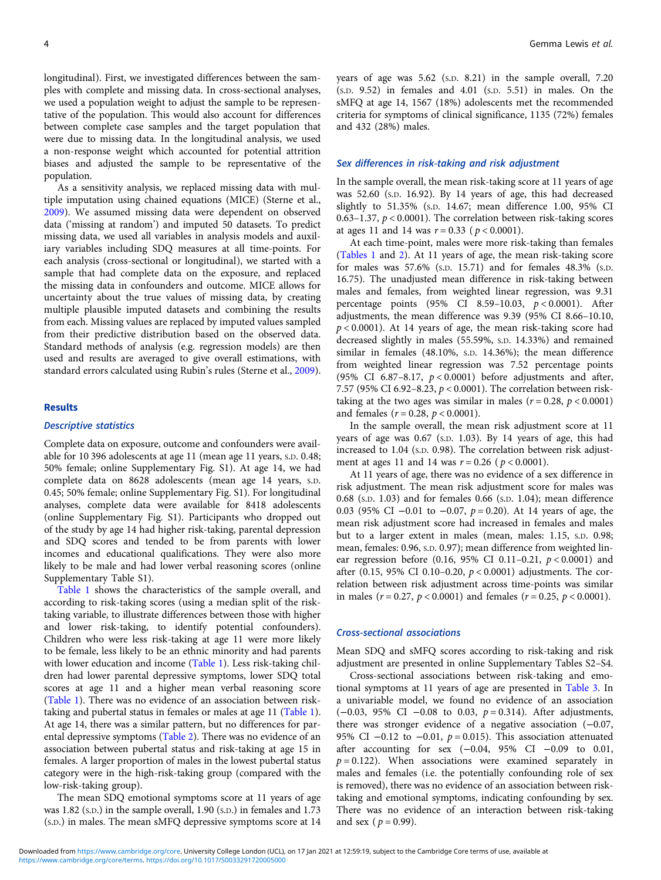longitudinal). First, we investigated differences between the samples with complete and missing data. In cross-sectional analyses, we used a population weight to adjust the sample to be representative of the population. This would also account for differences between complete case samples and the target population that were due to missing data. In the longitudinal analysis, we used a non-response weight which accounted for potential attrition biases and adjusted the sample to be representative of the population.

As a sensitivity analysis, we replaced missing data with multiple imputation using chained equations (MICE) (Sterne et al., [2009\)](#page-8-0). We assumed missing data were dependent on observed data ('missing at random') and imputed 50 datasets. To predict missing data, we used all variables in analysis models and auxiliary variables including SDQ measures at all time-points. For each analysis (cross-sectional or longitudinal), we started with a sample that had complete data on the exposure, and replaced the missing data in confounders and outcome. MICE allows for uncertainty about the true values of missing data, by creating multiple plausible imputed datasets and combining the results from each. Missing values are replaced by imputed values sampled from their predictive distribution based on the observed data. Standard methods of analysis (e.g. regression models) are then used and results are averaged to give overall estimations, with standard errors calculated using Rubin's rules (Sterne et al., [2009\)](#page-8-0).

#### Results

## Descriptive statistics

Complete data on exposure, outcome and confounders were available for 10 396 adolescents at age 11 (mean age 11 years, S.D. 0.48; 50% female; online Supplementary Fig. S1). At age 14, we had complete data on 8628 adolescents (mean age 14 years, S.D. 0.45; 50% female; online Supplementary Fig. S1). For longitudinal analyses, complete data were available for 8418 adolescents (online Supplementary Fig. S1). Participants who dropped out of the study by age 14 had higher risk-taking, parental depression and SDQ scores and tended to be from parents with lower incomes and educational qualifications. They were also more likely to be male and had lower verbal reasoning scores (online Supplementary Table S1).

[Table 1](#page-4-0) shows the characteristics of the sample overall, and according to risk-taking scores (using a median split of the risktaking variable, to illustrate differences between those with higher and lower risk-taking, to identify potential confounders). Children who were less risk-taking at age 11 were more likely to be female, less likely to be an ethnic minority and had parents with lower education and income [\(Table 1](#page-4-0)). Less risk-taking children had lower parental depressive symptoms, lower SDQ total scores at age 11 and a higher mean verbal reasoning score ([Table 1](#page-4-0)). There was no evidence of an association between risktaking and pubertal status in females or males at age 11 ([Table 1\)](#page-4-0). At age 14, there was a similar pattern, but no differences for parental depressive symptoms [\(Table 2](#page-4-0)). There was no evidence of an association between pubertal status and risk-taking at age 15 in females. A larger proportion of males in the lowest pubertal status category were in the high-risk-taking group (compared with the low-risk-taking group).

The mean SDQ emotional symptoms score at 11 years of age was 1.82 (S.D.) in the sample overall, 1.90 (S.D.) in females and 1.73 (S.D.) in males. The mean sMFQ depressive symptoms score at 14 years of age was 5.62 (S.D. 8.21) in the sample overall, 7.20 (S.D. 9.52) in females and 4.01 (S.D. 5.51) in males. On the sMFQ at age 14, 1567 (18%) adolescents met the recommended criteria for symptoms of clinical significance, 1135 (72%) females and 432 (28%) males.

#### Sex differences in risk-taking and risk adjustment

In the sample overall, the mean risk-taking score at 11 years of age was 52.60 (S.D. 16.92). By 14 years of age, this had decreased slightly to 51.35% (S.D. 14.67; mean difference 1.00, 95% CI 0.63–1.37,  $p < 0.0001$ ). The correlation between risk-taking scores at ages 11 and 14 was  $r = 0.33$  ( $p < 0.0001$ ).

At each time-point, males were more risk-taking than females ([Tables 1](#page-4-0) and [2](#page-4-0)). At 11 years of age, the mean risk-taking score for males was 57.6% (S.D. 15.71) and for females 48.3% (S.D. 16.75). The unadjusted mean difference in risk-taking between males and females, from weighted linear regression, was 9.31 percentage points (95% CI 8.59-10.03,  $p < 0.0001$ ). After adjustments, the mean difference was 9.39 (95% CI 8.66–10.10,  $p < 0.0001$ ). At 14 years of age, the mean risk-taking score had decreased slightly in males (55.59%, S.D. 14.33%) and remained similar in females (48.10%, S.D. 14.36%); the mean difference from weighted linear regression was 7.52 percentage points (95% CI 6.87-8.17,  $p < 0.0001$ ) before adjustments and after, 7.57 (95% CI 6.92–8.23, p < 0.0001). The correlation between risktaking at the two ages was similar in males  $(r = 0.28, p < 0.0001)$ and females ( $r = 0.28$ ,  $p < 0.0001$ ).

In the sample overall, the mean risk adjustment score at 11 years of age was 0.67 (S.D. 1.03). By 14 years of age, this had increased to 1.04 (S.D. 0.98). The correlation between risk adjustment at ages 11 and 14 was  $r = 0.26$  ( $p < 0.0001$ ).

At 11 years of age, there was no evidence of a sex difference in risk adjustment. The mean risk adjustment score for males was 0.68 (S.D. 1.03) and for females 0.66 (S.D. 1.04); mean difference 0.03 (95% CI −0.01 to −0.07, p = 0.20). At 14 years of age, the mean risk adjustment score had increased in females and males but to a larger extent in males (mean, males: 1.15, S.D. 0.98; mean, females: 0.96, S.D. 0.97); mean difference from weighted linear regression before  $(0.16, 95\% \text{ CI } 0.11-0.21, p < 0.0001)$  and after (0.15, 95% CI 0.10-0.20,  $p < 0.0001$ ) adjustments. The correlation between risk adjustment across time-points was similar in males ( $r = 0.27$ ,  $p < 0.0001$ ) and females ( $r = 0.25$ ,  $p < 0.0001$ ).

#### Cross-sectional associations

Mean SDQ and sMFQ scores according to risk-taking and risk adjustment are presented in online Supplementary Tables S2–S4.

Cross-sectional associations between risk-taking and emotional symptoms at 11 years of age are presented in [Table 3.](#page-5-0) In a univariable model, we found no evidence of an association ( $-0.03$ , 95% CI  $-0.08$  to 0.03,  $p = 0.314$ ). After adjustments, there was stronger evidence of a negative association (−0.07, 95% CI  $-0.12$  to  $-0.01$ ,  $p = 0.015$ ). This association attenuated after accounting for sex (−0.04, 95% CI −0.09 to 0.01,  $p = 0.122$ ). When associations were examined separately in males and females (i.e. the potentially confounding role of sex is removed), there was no evidence of an association between risktaking and emotional symptoms, indicating confounding by sex. There was no evidence of an interaction between risk-taking and sex ( $p = 0.99$ ).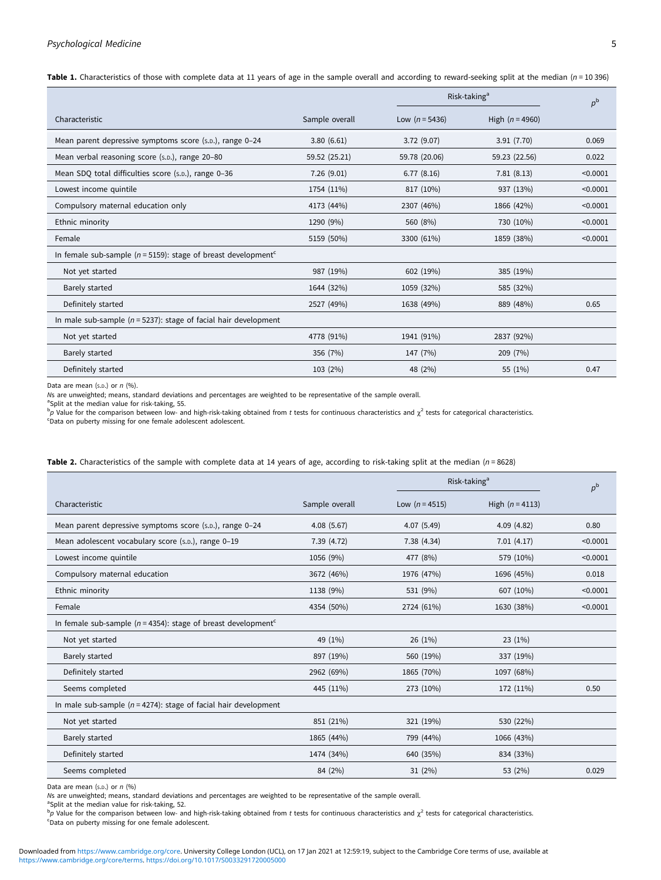## <span id="page-4-0"></span>Psychological Medicine 5

Table 1. Characteristics of those with complete data at 11 years of age in the sample overall and according to reward-seeking split at the median ( $n = 10,396$ )

|                                                                               |                |                  | Risk-taking <sup>a</sup> | $p^{\rm b}$ |
|-------------------------------------------------------------------------------|----------------|------------------|--------------------------|-------------|
| Characteristic                                                                | Sample overall | Low $(n = 5436)$ | High $(n = 4960)$        |             |
| Mean parent depressive symptoms score (s.p.), range 0-24                      | 3.80(6.61)     | 3.72(9.07)       | 3.91(7.70)               | 0.069       |
| Mean verbal reasoning score (s.p.), range 20-80                               | 59.52 (25.21)  | 59.78 (20.06)    | 59.23 (22.56)            | 0.022       |
| Mean SDQ total difficulties score (s.p.), range 0-36                          | 7.26(9.01)     | 6.77(8.16)       | 7.81(8.13)               | < 0.0001    |
| Lowest income quintile                                                        | 1754 (11%)     | 817 (10%)        | 937 (13%)                | < 0.0001    |
| Compulsory maternal education only                                            | 4173 (44%)     | 2307 (46%)       | 1866 (42%)               | < 0.0001    |
| Ethnic minority                                                               | 1290 (9%)      | 560 (8%)         | 730 (10%)                | < 0.0001    |
| Female                                                                        | 5159 (50%)     | 3300 (61%)       | 1859 (38%)               | < 0.0001    |
| In female sub-sample ( $n = 5159$ ): stage of breast development <sup>c</sup> |                |                  |                          |             |
| Not yet started                                                               | 987 (19%)      | 602 (19%)        | 385 (19%)                |             |
| Barely started                                                                | 1644 (32%)     | 1059 (32%)       | 585 (32%)                |             |
| Definitely started                                                            | 2527 (49%)     | 1638 (49%)       | 889 (48%)                | 0.65        |
| In male sub-sample ( $n = 5237$ ): stage of facial hair development           |                |                  |                          |             |
| Not yet started                                                               | 4778 (91%)     | 1941 (91%)       | 2837 (92%)               |             |
| <b>Barely started</b>                                                         | 356 (7%)       | 147 (7%)         | 209 (7%)                 |             |
| Definitely started                                                            | 103 (2%)       | 48 (2%)          | 55 (1%)                  | 0.47        |

Data are mean (s.p.) or  $n$  (%).

Ns are unweighted; means, standard deviations and percentages are weighted to be representative of the sample overall.

<sup>a</sup>Split at the median value for risk-taking, 55.

 $^{\text{b}}$  Value for the comparison between low- and high-risk-taking obtained from t tests for continuous characteristics and  $\chi^2$  tests for categorical characteristics. Data on puberty missing for one female adolescent adolescent.

|                                                                               |                |                  | Risk-taking <sup>a</sup> | $p^{\rm b}$ |
|-------------------------------------------------------------------------------|----------------|------------------|--------------------------|-------------|
| Characteristic                                                                | Sample overall | Low $(n = 4515)$ | High $(n = 4113)$        |             |
| Mean parent depressive symptoms score (s.p.), range 0-24                      | 4.08(5.67)     | 4.07 (5.49)      | 4.09(4.82)               | 0.80        |
| Mean adolescent vocabulary score (s.p.), range 0-19                           | 7.39 (4.72)    | 7.38(4.34)       | 7.01(4.17)               | < 0.0001    |
| Lowest income quintile                                                        | 1056 (9%)      | 477 (8%)         | 579 (10%)                | < 0.0001    |
| Compulsory maternal education                                                 | 3672 (46%)     | 1976 (47%)       | 1696 (45%)               | 0.018       |
| Ethnic minority                                                               | 1138 (9%)      | 531 (9%)         | 607 (10%)                | < 0.0001    |
| Female                                                                        | 4354 (50%)     | 2724 (61%)       | 1630 (38%)               | < 0.0001    |
| In female sub-sample ( $n = 4354$ ): stage of breast development <sup>c</sup> |                |                  |                          |             |
| Not yet started                                                               | 49 (1%)        | 26(1%)           | 23 (1%)                  |             |
| Barely started                                                                | 897 (19%)      | 560 (19%)        | 337 (19%)                |             |
| Definitely started                                                            | 2962 (69%)     | 1865 (70%)       | 1097 (68%)               |             |
| Seems completed                                                               | 445 (11%)      | 273 (10%)        | 172 (11%)                | 0.50        |
| In male sub-sample ( $n = 4274$ ): stage of facial hair development           |                |                  |                          |             |
| Not yet started                                                               | 851 (21%)      | 321 (19%)        | 530 (22%)                |             |
| Barely started                                                                | 1865 (44%)     | 799 (44%)        | 1066 (43%)               |             |
| Definitely started                                                            | 1474 (34%)     | 640 (35%)        | 834 (33%)                |             |
| Seems completed                                                               | 84 (2%)        | 31(2%)           | 53 (2%)                  | 0.029       |

Table 2. Characteristics of the sample with complete data at 14 years of age, according to risk-taking split at the median ( $n = 8628$ )

Data are mean  $(s.p.)$  or  $n(%)$ 

Ns are unweighted; means, standard deviations and percentages are weighted to be representative of the sample overall.

<sup>a</sup>Split at the median value for risk-taking, 52.

 $^{\text{b}}$  Value for the comparison between low- and high-risk-taking obtained from t tests for continuous characteristics and  $\chi^2$  tests for categorical characteristics.  $°$ Data on puberty missing for one female adolescent.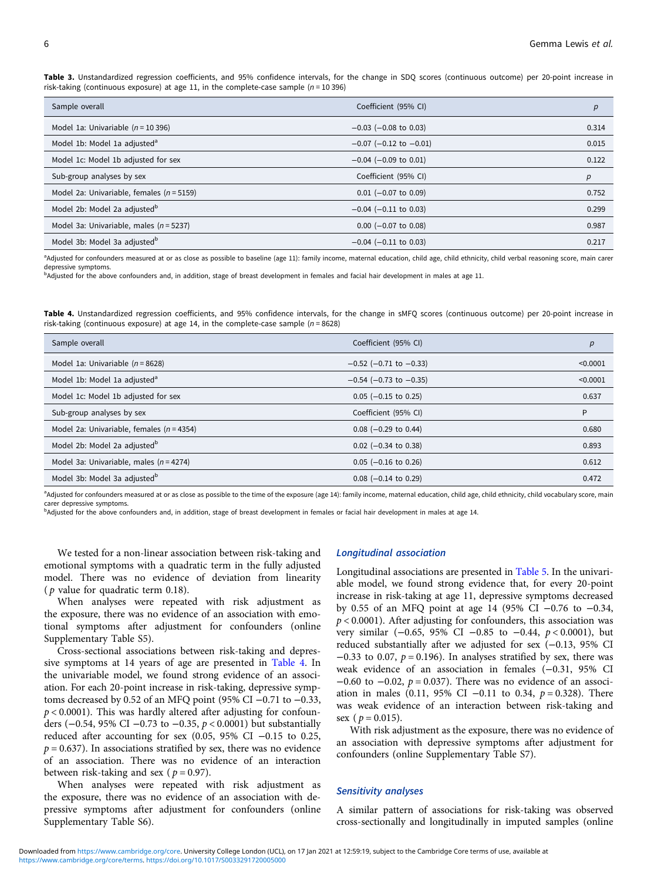<span id="page-5-0"></span>Table 3. Unstandardized regression coefficients, and 95% confidence intervals, for the change in SDQ scores (continuous outcome) per 20-point increase in risk-taking (continuous exposure) at age 11, in the complete-case sample ( $n = 10,396$ )

| Sample overall                                | Coefficient (95% CI)           | p     |
|-----------------------------------------------|--------------------------------|-------|
| Model 1a: Univariable ( $n = 10396$ )         | $-0.03$ ( $-0.08$ to 0.03)     | 0.314 |
| Model 1b: Model 1a adjusted <sup>a</sup>      | $-0.07$ ( $-0.12$ to $-0.01$ ) | 0.015 |
| Model 1c: Model 1b adjusted for sex           | $-0.04$ ( $-0.09$ to 0.01)     | 0.122 |
| Sub-group analyses by sex                     | Coefficient (95% CI)           | p     |
| Model 2a: Univariable, females ( $n = 5159$ ) | $0.01$ (-0.07 to 0.09)         | 0.752 |
| Model 2b: Model 2a adjusted <sup>b</sup>      | $-0.04$ ( $-0.11$ to 0.03)     | 0.299 |
| Model 3a: Univariable, males ( $n = 5237$ )   | $0.00$ (-0.07 to 0.08)         | 0.987 |
| Model 3b: Model 3a adjusted <sup>b</sup>      | $-0.04$ ( $-0.11$ to 0.03)     | 0.217 |

<sup>a</sup>Adjusted for confounders measured at or as close as possible to baseline (age 11): family income, maternal education, child age, child ethnicity, child verbal reasoning score, main carer depressive symptoms.

<sup>b</sup>Adjusted for the above confounders and, in addition, stage of breast development in females and facial hair development in males at age 11.

Table 4. Unstandardized regression coefficients, and 95% confidence intervals, for the change in sMFQ scores (continuous outcome) per 20-point increase in risk-taking (continuous exposure) at age 14, in the complete-case sample ( $n = 8628$ )

| Sample overall                                | Coefficient (95% CI)           | р        |
|-----------------------------------------------|--------------------------------|----------|
| Model 1a: Univariable $(n = 8628)$            | $-0.52$ ( $-0.71$ to $-0.33$ ) | < 0.0001 |
| Model 1b: Model 1a adjusted <sup>a</sup>      | $-0.54$ ( $-0.73$ to $-0.35$ ) | < 0.0001 |
| Model 1c: Model 1b adjusted for sex           | $0.05$ (-0.15 to 0.25)         | 0.637    |
| Sub-group analyses by sex                     | Coefficient (95% CI)           | P        |
| Model 2a: Univariable, females ( $n = 4354$ ) | $0.08$ (-0.29 to 0.44)         | 0.680    |
| Model 2b: Model 2a adjusted <sup>b</sup>      | $0.02$ (-0.34 to 0.38)         | 0.893    |
| Model 3a: Univariable, males ( $n = 4274$ )   | $0.05$ (-0.16 to 0.26)         | 0.612    |
| Model 3b: Model 3a adjusted <sup>b</sup>      | $0.08$ (-0.14 to 0.29)         | 0.472    |

<sup>a</sup>Adjusted for confounders measured at or as close as possible to the time of the exposure (age 14): family income, maternal education, child age, child ethnicity, child vocabulary score, main carer depressive symptoms.

<sup>b</sup>Adjusted for the above confounders and, in addition, stage of breast development in females or facial hair development in males at age 14.

We tested for a non-linear association between risk-taking and emotional symptoms with a quadratic term in the fully adjusted model. There was no evidence of deviation from linearity ( $p$  value for quadratic term 0.18).

When analyses were repeated with risk adjustment as the exposure, there was no evidence of an association with emotional symptoms after adjustment for confounders (online Supplementary Table S5).

Cross-sectional associations between risk-taking and depressive symptoms at 14 years of age are presented in Table 4. In the univariable model, we found strong evidence of an association. For each 20-point increase in risk-taking, depressive symptoms decreased by 0.52 of an MFQ point (95% CI −0.71 to −0.33,  $p < 0.0001$ ). This was hardly altered after adjusting for confounders (−0.54, 95% CI −0.73 to −0.35, p < 0.0001) but substantially reduced after accounting for sex (0.05, 95% CI −0.15 to 0.25,  $p = 0.637$ ). In associations stratified by sex, there was no evidence of an association. There was no evidence of an interaction between risk-taking and sex ( $p = 0.97$ ).

When analyses were repeated with risk adjustment as the exposure, there was no evidence of an association with depressive symptoms after adjustment for confounders (online Supplementary Table S6).

## Longitudinal association

Longitudinal associations are presented in [Table 5.](#page-6-0) In the univariable model, we found strong evidence that, for every 20-point increase in risk-taking at age 11, depressive symptoms decreased by 0.55 of an MFQ point at age 14 (95% CI −0.76 to −0.34,  $p < 0.0001$ ). After adjusting for confounders, this association was very similar (−0.65, 95% CI −0.85 to −0.44, p < 0.0001), but reduced substantially after we adjusted for sex (−0.13, 95% CI  $-0.33$  to 0.07,  $p = 0.196$ ). In analyses stratified by sex, there was weak evidence of an association in females (−0.31, 95% CI  $-0.60$  to  $-0.02$ ,  $p = 0.037$ ). There was no evidence of an association in males (0.11, 95% CI −0.11 to 0.34,  $p = 0.328$ ). There was weak evidence of an interaction between risk-taking and sex ( $p = 0.015$ ).

With risk adjustment as the exposure, there was no evidence of an association with depressive symptoms after adjustment for confounders (online Supplementary Table S7).

## Sensitivity analyses

A similar pattern of associations for risk-taking was observed cross-sectionally and longitudinally in imputed samples (online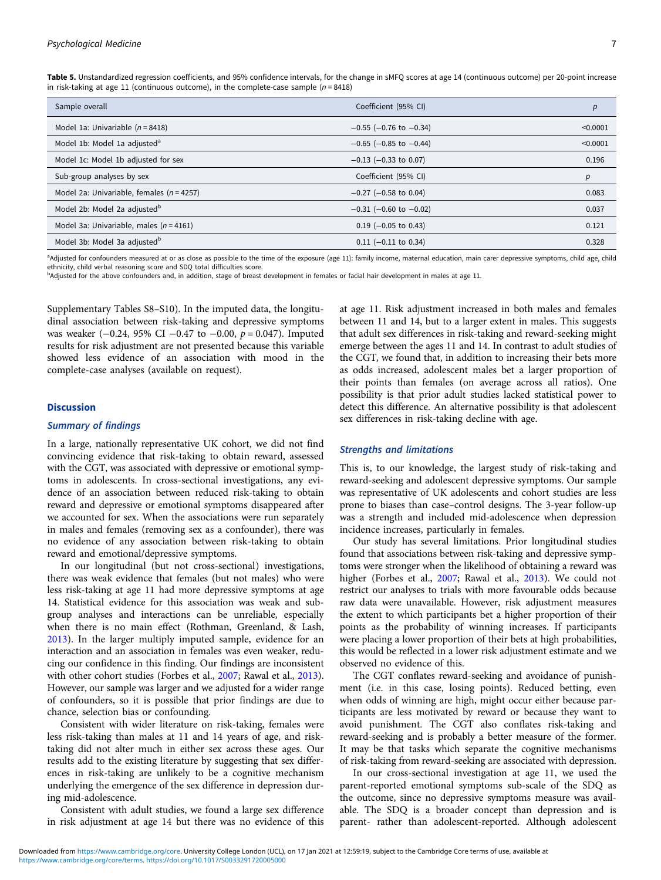<span id="page-6-0"></span>Table 5. Unstandardized regression coefficients, and 95% confidence intervals, for the change in sMFO scores at age 14 (continuous outcome) per 20-point increase in risk-taking at age 11 (continuous outcome), in the complete-case sample ( $n = 8418$ )

| Sample overall                                | Coefficient (95% CI)           | р        |
|-----------------------------------------------|--------------------------------|----------|
| Model 1a: Univariable $(n = 8418)$            | $-0.55$ ( $-0.76$ to $-0.34$ ) | < 0.0001 |
| Model 1b: Model 1a adjusted <sup>a</sup>      | $-0.65$ ( $-0.85$ to $-0.44$ ) | < 0.0001 |
| Model 1c: Model 1b adjusted for sex           | $-0.13$ ( $-0.33$ to 0.07)     | 0.196    |
| Sub-group analyses by sex                     | Coefficient (95% CI)           | р        |
| Model 2a: Univariable, females ( $n = 4257$ ) | $-0.27$ ( $-0.58$ to 0.04)     | 0.083    |
| Model 2b: Model 2a adjusted <sup>b</sup>      | $-0.31$ ( $-0.60$ to $-0.02$ ) | 0.037    |
| Model 3a: Univariable, males ( $n = 4161$ )   | $0.19$ (-0.05 to 0.43)         | 0.121    |
| Model 3b: Model 3a adjusted <sup>b</sup>      | $0.11$ (-0.11 to 0.34)         | 0.328    |

a<br>Adjusted for confounders measured at or as close as possible to the time of the exposure (age 11): family income, maternal education, main carer depressive symptoms, child age, child ethnicity, child verbal reasoning score and SDQ total difficulties score.

<sup>b</sup>Adjusted for the above confounders and, in addition, stage of breast development in females or facial hair development in males at age 11.

Supplementary Tables S8–S10). In the imputed data, the longitudinal association between risk-taking and depressive symptoms was weaker ( $-0.24$ , 95% CI  $-0.47$  to  $-0.00$ ,  $p = 0.047$ ). Imputed results for risk adjustment are not presented because this variable showed less evidence of an association with mood in the complete-case analyses (available on request).

## **Discussion**

## Summary of findings

In a large, nationally representative UK cohort, we did not find convincing evidence that risk-taking to obtain reward, assessed with the CGT, was associated with depressive or emotional symptoms in adolescents. In cross-sectional investigations, any evidence of an association between reduced risk-taking to obtain reward and depressive or emotional symptoms disappeared after we accounted for sex. When the associations were run separately in males and females (removing sex as a confounder), there was no evidence of any association between risk-taking to obtain reward and emotional/depressive symptoms.

In our longitudinal (but not cross-sectional) investigations, there was weak evidence that females (but not males) who were less risk-taking at age 11 had more depressive symptoms at age 14. Statistical evidence for this association was weak and subgroup analyses and interactions can be unreliable, especially when there is no main effect (Rothman, Greenland, & Lash, [2013\)](#page-8-0). In the larger multiply imputed sample, evidence for an interaction and an association in females was even weaker, reducing our confidence in this finding. Our findings are inconsistent with other cohort studies (Forbes et al., [2007;](#page-7-0) Rawal et al., [2013\)](#page-8-0). However, our sample was larger and we adjusted for a wider range of confounders, so it is possible that prior findings are due to chance, selection bias or confounding.

Consistent with wider literature on risk-taking, females were less risk-taking than males at 11 and 14 years of age, and risktaking did not alter much in either sex across these ages. Our results add to the existing literature by suggesting that sex differences in risk-taking are unlikely to be a cognitive mechanism underlying the emergence of the sex difference in depression during mid-adolescence.

Consistent with adult studies, we found a large sex difference in risk adjustment at age 14 but there was no evidence of this at age 11. Risk adjustment increased in both males and females between 11 and 14, but to a larger extent in males. This suggests that adult sex differences in risk-taking and reward-seeking might emerge between the ages 11 and 14. In contrast to adult studies of the CGT, we found that, in addition to increasing their bets more as odds increased, adolescent males bet a larger proportion of their points than females (on average across all ratios). One possibility is that prior adult studies lacked statistical power to detect this difference. An alternative possibility is that adolescent sex differences in risk-taking decline with age.

## Strengths and limitations

This is, to our knowledge, the largest study of risk-taking and reward-seeking and adolescent depressive symptoms. Our sample was representative of UK adolescents and cohort studies are less prone to biases than case–control designs. The 3-year follow-up was a strength and included mid-adolescence when depression incidence increases, particularly in females.

Our study has several limitations. Prior longitudinal studies found that associations between risk-taking and depressive symptoms were stronger when the likelihood of obtaining a reward was higher (Forbes et al., [2007](#page-7-0); Rawal et al., [2013](#page-8-0)). We could not restrict our analyses to trials with more favourable odds because raw data were unavailable. However, risk adjustment measures the extent to which participants bet a higher proportion of their points as the probability of winning increases. If participants were placing a lower proportion of their bets at high probabilities, this would be reflected in a lower risk adjustment estimate and we observed no evidence of this.

The CGT conflates reward-seeking and avoidance of punishment (i.e. in this case, losing points). Reduced betting, even when odds of winning are high, might occur either because participants are less motivated by reward or because they want to avoid punishment. The CGT also conflates risk-taking and reward-seeking and is probably a better measure of the former. It may be that tasks which separate the cognitive mechanisms of risk-taking from reward-seeking are associated with depression.

In our cross-sectional investigation at age 11, we used the parent-reported emotional symptoms sub-scale of the SDQ as the outcome, since no depressive symptoms measure was available. The SDQ is a broader concept than depression and is parent- rather than adolescent-reported. Although adolescent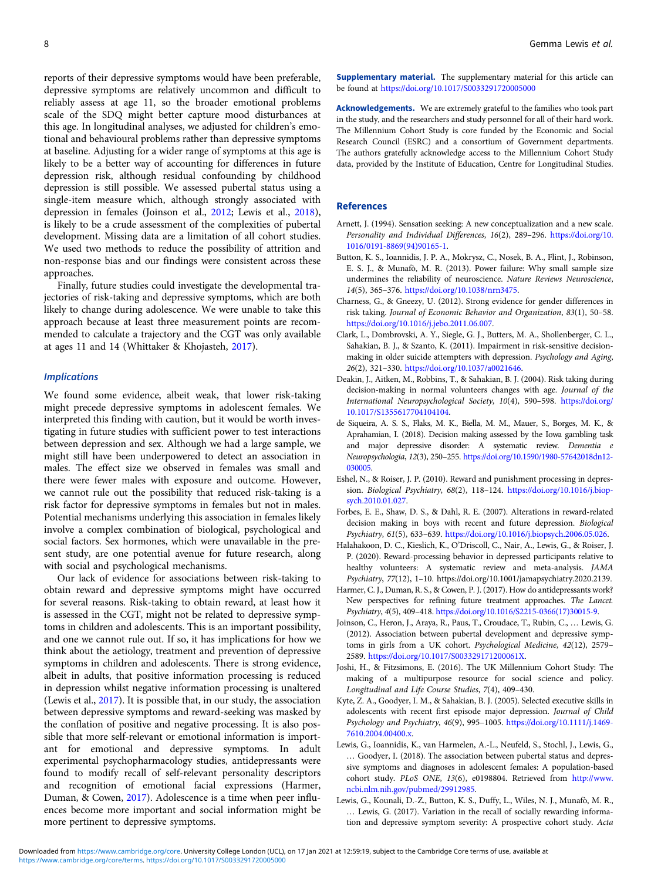<span id="page-7-0"></span>reports of their depressive symptoms would have been preferable, depressive symptoms are relatively uncommon and difficult to reliably assess at age 11, so the broader emotional problems scale of the SDQ might better capture mood disturbances at this age. In longitudinal analyses, we adjusted for children's emotional and behavioural problems rather than depressive symptoms at baseline. Adjusting for a wider range of symptoms at this age is likely to be a better way of accounting for differences in future depression risk, although residual confounding by childhood depression is still possible. We assessed pubertal status using a single-item measure which, although strongly associated with depression in females (Joinson et al., 2012; Lewis et al., 2018), is likely to be a crude assessment of the complexities of pubertal development. Missing data are a limitation of all cohort studies. We used two methods to reduce the possibility of attrition and non-response bias and our findings were consistent across these approaches.

Finally, future studies could investigate the developmental trajectories of risk-taking and depressive symptoms, which are both likely to change during adolescence. We were unable to take this approach because at least three measurement points are recommended to calculate a trajectory and the CGT was only available at ages 11 and 14 (Whittaker & Khojasteh, [2017](#page-8-0)).

#### **Implications**

We found some evidence, albeit weak, that lower risk-taking might precede depressive symptoms in adolescent females. We interpreted this finding with caution, but it would be worth investigating in future studies with sufficient power to test interactions between depression and sex. Although we had a large sample, we might still have been underpowered to detect an association in males. The effect size we observed in females was small and there were fewer males with exposure and outcome. However, we cannot rule out the possibility that reduced risk-taking is a risk factor for depressive symptoms in females but not in males. Potential mechanisms underlying this association in females likely involve a complex combination of biological, psychological and social factors. Sex hormones, which were unavailable in the present study, are one potential avenue for future research, along with social and psychological mechanisms.

Our lack of evidence for associations between risk-taking to obtain reward and depressive symptoms might have occurred for several reasons. Risk-taking to obtain reward, at least how it is assessed in the CGT, might not be related to depressive symptoms in children and adolescents. This is an important possibility, and one we cannot rule out. If so, it has implications for how we think about the aetiology, treatment and prevention of depressive symptoms in children and adolescents. There is strong evidence, albeit in adults, that positive information processing is reduced in depression whilst negative information processing is unaltered (Lewis et al., 2017). It is possible that, in our study, the association between depressive symptoms and reward-seeking was masked by the conflation of positive and negative processing. It is also possible that more self-relevant or emotional information is important for emotional and depressive symptoms. In adult experimental psychopharmacology studies, antidepressants were found to modify recall of self-relevant personality descriptors and recognition of emotional facial expressions (Harmer, Duman, & Cowen, 2017). Adolescence is a time when peer influences become more important and social information might be more pertinent to depressive symptoms.

Supplementary material. The supplementary material for this article can be found at <https://doi.org/10.1017/S0033291720005000>

Acknowledgements. We are extremely grateful to the families who took part in the study, and the researchers and study personnel for all of their hard work. The Millennium Cohort Study is core funded by the Economic and Social Research Council (ESRC) and a consortium of Government departments. The authors gratefully acknowledge access to the Millennium Cohort Study data, provided by the Institute of Education, Centre for Longitudinal Studies.

#### References

- Arnett, J. (1994). Sensation seeking: A new conceptualization and a new scale. Personality and Individual Differences, 16(2), 289–296. [https://doi.org/10.](https://doi.org/10.1016/0191-8869(94)90165-1) [1016/0191-8869\(94\)90165-1](https://doi.org/10.1016/0191-8869(94)90165-1).
- Button, K. S., Ioannidis, J. P. A., Mokrysz, C., Nosek, B. A., Flint, J., Robinson, E. S. J., & Munafò, M. R. (2013). Power failure: Why small sample size undermines the reliability of neuroscience. Nature Reviews Neuroscience, 14(5), 365–376. <https://doi.org/10.1038/nrn3475>.
- Charness, G., & Gneezy, U. (2012). Strong evidence for gender differences in risk taking. Journal of Economic Behavior and Organization, 83(1), 50–58. [https://doi.org/10.1016/j.jebo.2011.06.007.](https://doi.org/10.1016/j.jebo.2011.06.007)
- Clark, L., Dombrovski, A. Y., Siegle, G. J., Butters, M. A., Shollenberger, C. L., Sahakian, B. J., & Szanto, K. (2011). Impairment in risk-sensitive decisionmaking in older suicide attempters with depression. Psychology and Aging, 26(2), 321–330. [https://doi.org/10.1037/a0021646.](https://doi.org/10.1037/a0021646)
- Deakin, J., Aitken, M., Robbins, T., & Sahakian, B. J. (2004). Risk taking during decision-making in normal volunteers changes with age. Journal of the International Neuropsychological Society, 10(4), 590–598. [https://doi.org/](https://doi.org/10.1017/S1355617704104104) [10.1017/S1355617704104104](https://doi.org/10.1017/S1355617704104104).
- de Siqueira, A. S. S., Flaks, M. K., Biella, M. M., Mauer, S., Borges, M. K., & Aprahamian, I. (2018). Decision making assessed by the Iowa gambling task and major depressive disorder: A systematic review. Dementia e Neuropsychologia, 12(3), 250–255. [https://doi.org/10.1590/1980-57642018dn12-](https://doi.org/10.1590/1980-57642018dn12-030005) [030005](https://doi.org/10.1590/1980-57642018dn12-030005).
- Eshel, N., & Roiser, J. P. (2010). Reward and punishment processing in depression. Biological Psychiatry, 68(2), 118–124. [https://doi.org/10.1016/j.biop](https://doi.org/10.1016/j.biopsych.2010.01.027)[sych.2010.01.027.](https://doi.org/10.1016/j.biopsych.2010.01.027)
- Forbes, E. E., Shaw, D. S., & Dahl, R. E. (2007). Alterations in reward-related decision making in boys with recent and future depression. Biological Psychiatry, 61(5), 633–639. <https://doi.org/10.1016/j.biopsych.2006.05.026>.
- Halahakoon, D. C., Kieslich, K., O'Driscoll, C., Nair, A., Lewis, G., & Roiser, J. P. (2020). Reward-processing behavior in depressed participants relative to healthy volunteers: A systematic review and meta-analysis. JAMA Psychiatry, 77(12), 1–10. https://doi.org/10.1001/jamapsychiatry.2020.2139.
- Harmer, C. J., Duman, R. S., & Cowen, P. J. (2017). How do antidepressants work? New perspectives for refining future treatment approaches. The Lancet. Psychiatry, 4(5), 409–418. [https://doi.org/10.1016/S2215-0366\(17\)30015-9](https://doi.org/10.1016/S2215-0366(17)30015-9).
- Joinson, C., Heron, J., Araya, R., Paus, T., Croudace, T., Rubin, C., … Lewis, G. (2012). Association between pubertal development and depressive symptoms in girls from a UK cohort. Psychological Medicine, 42(12), 2579– 2589. [https://doi.org/10.1017/S003329171200061X.](https://doi.org/10.1017/S003329171200061X)
- Joshi, H., & Fitzsimons, E. (2016). The UK Millennium Cohort Study: The making of a multipurpose resource for social science and policy. Longitudinal and Life Course Studies, 7(4), 409–430.
- Kyte, Z. A., Goodyer, I. M., & Sahakian, B. J. (2005). Selected executive skills in adolescents with recent first episode major depression. Journal of Child Psychology and Psychiatry, 46(9), 995–1005. [https://doi.org/10.1111/j.1469-](https://doi.org/10.1111/j.1469-7610.2004.00400.x) [7610.2004.00400.x.](https://doi.org/10.1111/j.1469-7610.2004.00400.x)
- Lewis, G., Ioannidis, K., van Harmelen, A.-L., Neufeld, S., Stochl, J., Lewis, G., … Goodyer, I. (2018). The association between pubertal status and depressive symptoms and diagnoses in adolescent females: A population-based cohort study. PLoS ONE, 13(6), e0198804. Retrieved from [http://www.](http://www.ncbi.nlm.nih.gov/pubmed/29912985) [ncbi.nlm.nih.gov/pubmed/29912985.](http://www.ncbi.nlm.nih.gov/pubmed/29912985)
- Lewis, G., Kounali, D.-Z., Button, K. S., Duffy, L., Wiles, N. J., Munafò, M. R., … Lewis, G. (2017). Variation in the recall of socially rewarding information and depressive symptom severity: A prospective cohort study. Acta